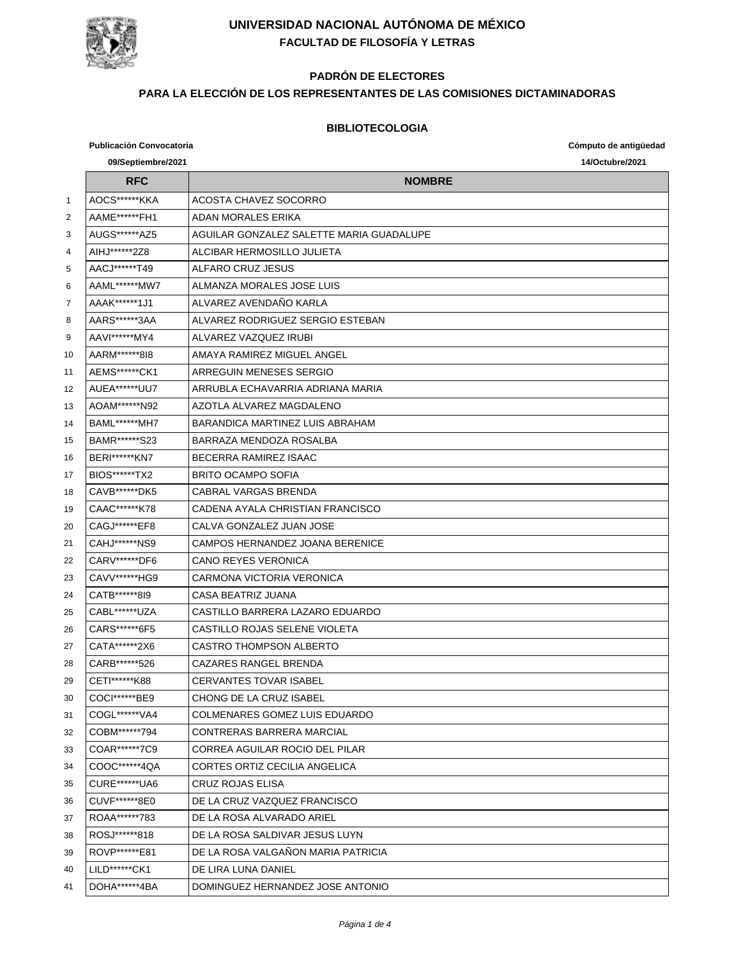

# **PADRÓN DE ELECTORES**

### **PARA LA ELECCIÓN DE LOS REPRESENTANTES DE LAS COMISIONES DICTAMINADORAS**

#### **BIBLIOTECOLOGIA**

**Publicación Convocatoria Cómputo de antigüedad 09/Septiembre/2021 14/Octubre/2021 RFC NOMBRE** 1 AOCS\*\*\*\*\*\*KKA ACOSTA CHAVEZ SOCORRO 2 AAME\*\*\*\*\*\*FH1 ADAN MORALES ERIKA AUGS\*\*\*\*\*\*AZ5 AGUILAR GONZALEZ SALETTE MARIA GUADALUPE 4 AIHJ\*\*\*\*\*\*2Z8 ALCIBAR HERMOSILLO JULIETA AACJ\*\*\*\*\*\*T49 ALFARO CRUZ JESUS AAML\*\*\*\*\*\*MW7 ALMANZA MORALES JOSE LUIS AAAK\*\*\*\*\*\*1J1 ALVAREZ AVENDAÑO KARLA 8 | AARS\*\*\*\*\*\*3AA | ALVAREZ RODRIGUEZ SERGIO ESTEBAN 9 | AAVI\*\*\*\*\*\*MY4 | ALVAREZ VAZQUEZ IRUBI 10 AARM\*\*\*\*\*\*8I8 | AMAYA RAMIREZ MIGUEL ANGEL AEMS\*\*\*\*\*\*CK1 ARREGUIN MENESES SERGIO AUEA\*\*\*\*\*\*UU7 ARRUBLA ECHAVARRIA ADRIANA MARIA AOAM\*\*\*\*\*\*N92 AZOTLA ALVAREZ MAGDALENO BAML\*\*\*\*\*\*MH7 BARANDICA MARTINEZ LUIS ABRAHAM BAMR\*\*\*\*\*\*S23 BARRAZA MENDOZA ROSALBA BERI\*\*\*\*\*\*KN7 BECERRA RAMIREZ ISAAC 17 | BIOS\*\*\*\*\*\*TX2 | BRITO OCAMPO SOFIA 18 | CAVB\*\*\*\*\*\*DK5 | CABRAL VARGAS BRENDA CAAC\*\*\*\*\*\*K78 CADENA AYALA CHRISTIAN FRANCISCO CAGJ\*\*\*\*\*\*EF8 CALVA GONZALEZ JUAN JOSE CAHJ\*\*\*\*\*\*NS9 CAMPOS HERNANDEZ JOANA BERENICE 22 CARV\*\*\*\*\*\*\*DF6 CANO REYES VERONICA 23 CAVV\*\*\*\*\*\*HG9 CARMONA VICTORIA VERONICA 24 | CATB\*\*\*\*\*\*8I9 | CASA BEATRIZ JUANA CABL\*\*\*\*\*\*UZA CASTILLO BARRERA LAZARO EDUARDO CARS\*\*\*\*\*\*6F5 CASTILLO ROJAS SELENE VIOLETA 27 | CATA\*\*\*\*\*\*2X6 | CASTRO THOMPSON ALBERTO 28 | CARB\*\*\*\*\*\*\*526 | CAZARES RANGEL BRENDA 29 CETI\*\*\*\*\*\*K88 CERVANTES TOVAR ISABEL COCI\*\*\*\*\*\*BE9 CHONG DE LA CRUZ ISABEL COGL\*\*\*\*\*\*VA4 COLMENARES GOMEZ LUIS EDUARDO COBM\*\*\*\*\*\*794 CONTRERAS BARRERA MARCIAL COAR\*\*\*\*\*\*7C9 CORREA AGUILAR ROCIO DEL PILAR COOC\*\*\*\*\*\*4QA CORTES ORTIZ CECILIA ANGELICA CURE\*\*\*\*\*\*UA6 CRUZ ROJAS ELISA CUVF\*\*\*\*\*\*8E0 DE LA CRUZ VAZQUEZ FRANCISCO ROAA\*\*\*\*\*\*783 DE LA ROSA ALVARADO ARIEL ROSJ\*\*\*\*\*\*818 DE LA ROSA SALDIVAR JESUS LUYN ROVP\*\*\*\*\*\*E81 DE LA ROSA VALGAÑON MARIA PATRICIA LILD\*\*\*\*\*\*CK1 DE LIRA LUNA DANIEL DOHA\*\*\*\*\*\*4BA DOMINGUEZ HERNANDEZ JOSE ANTONIO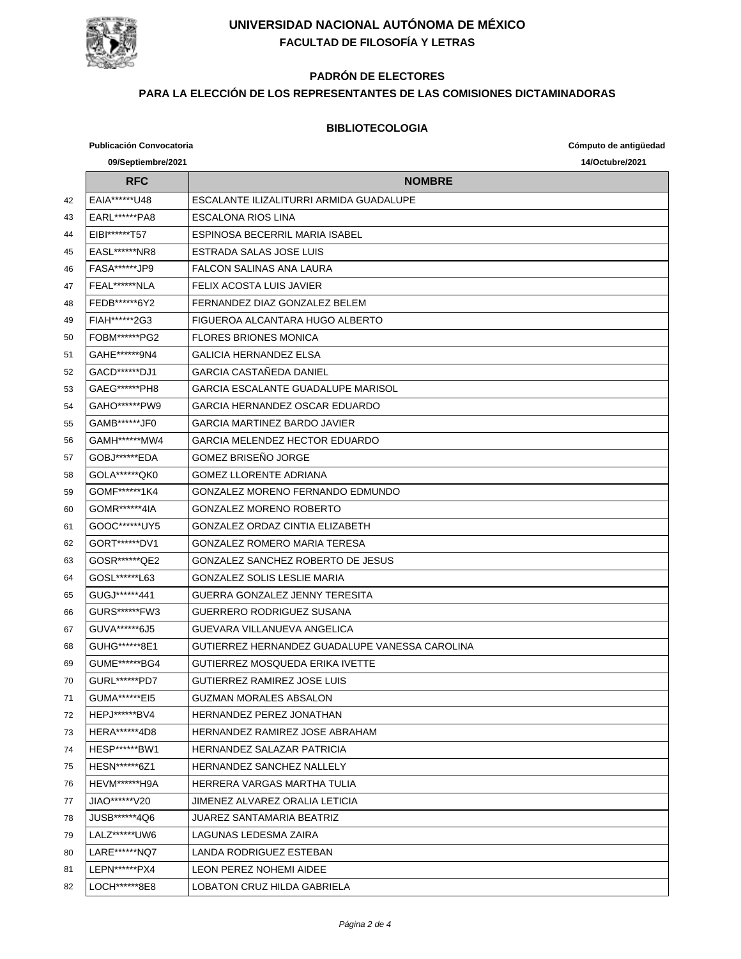

## **PADRÓN DE ELECTORES**

### **PARA LA ELECCIÓN DE LOS REPRESENTANTES DE LAS COMISIONES DICTAMINADORAS**

#### **BIBLIOTECOLOGIA**

**Publicación Convocatoria Cómputo de antigüedad 09/Septiembre/2021 14/Octubre/2021 RFC NOMBRE** EAIA\*\*\*\*\*\*U48 ESCALANTE ILIZALITURRI ARMIDA GUADALUPE EARL\*\*\*\*\*\*PA8 ESCALONA RIOS LINA EIBI\*\*\*\*\*\*T57 ESPINOSA BECERRIL MARIA ISABEL EASL\*\*\*\*\*\*NR8 ESTRADA SALAS JOSE LUIS FASA\*\*\*\*\*\*JP9 FALCON SALINAS ANA LAURA FEAL\*\*\*\*\*\*NLA FELIX ACOSTA LUIS JAVIER FEDB\*\*\*\*\*\*6Y2 FERNANDEZ DIAZ GONZALEZ BELEM FIAH\*\*\*\*\*\*2G3 FIGUEROA ALCANTARA HUGO ALBERTO FOBM\*\*\*\*\*\*PG2 FLORES BRIONES MONICA GAHE\*\*\*\*\*\*9N4 GALICIA HERNANDEZ ELSA GACD\*\*\*\*\*\*DJ1 GARCIA CASTAÑEDA DANIEL GAEG\*\*\*\*\*\*PH8 GARCIA ESCALANTE GUADALUPE MARISOL GAHO\*\*\*\*\*\*PW9 GARCIA HERNANDEZ OSCAR EDUARDO GAMB\*\*\*\*\*\*JF0 GARCIA MARTINEZ BARDO JAVIER GAMH\*\*\*\*\*\*MW4 GARCIA MELENDEZ HECTOR EDUARDO GOBJ\*\*\*\*\*\*EDA GOMEZ BRISEÑO JORGE GOLA\*\*\*\*\*\*QK0 GOMEZ LLORENTE ADRIANA GOMF\*\*\*\*\*\*1K4 GONZALEZ MORENO FERNANDO EDMUNDO GOMR\*\*\*\*\*\*4IA GONZALEZ MORENO ROBERTO GOOC\*\*\*\*\*\*UY5 GONZALEZ ORDAZ CINTIA ELIZABETH GORT\*\*\*\*\*\*DV1 GONZALEZ ROMERO MARIA TERESA GOSR\*\*\*\*\*\*QE2 GONZALEZ SANCHEZ ROBERTO DE JESUS GOSL\*\*\*\*\*\*L63 GONZALEZ SOLIS LESLIE MARIA GUGJ\*\*\*\*\*\*441 GUERRA GONZALEZ JENNY TERESITA GURS\*\*\*\*\*\*FW3 GUERRERO RODRIGUEZ SUSANA GUVA\*\*\*\*\*\*6J5 GUEVARA VILLANUEVA ANGELICA GUHG\*\*\*\*\*\*8E1 GUTIERREZ HERNANDEZ GUADALUPE VANESSA CAROLINA GUME\*\*\*\*\*\*BG4 GUTIERREZ MOSQUEDA ERIKA IVETTE GURL\*\*\*\*\*\*PD7 GUTIERREZ RAMIREZ JOSE LUIS GUMA\*\*\*\*\*\*EI5 GUZMAN MORALES ABSALON **HEPJ\*\*\*\*\*\*BV4** HERNANDEZ PEREZ JONATHAN 73 | HERA\*\*\*\*\*\*4D8 | HERNANDEZ RAMIREZ JOSE ABRAHAM HESP\*\*\*\*\*\*BW1 HERNANDEZ SALAZAR PATRICIA HESN\*\*\*\*\*\*6Z1 HERNANDEZ SANCHEZ NALLELY HEVM\*\*\*\*\*\*H9A HERRERA VARGAS MARTHA TULIA JIAO\*\*\*\*\*\*V20 JIMENEZ ALVAREZ ORALIA LETICIA JUSB\*\*\*\*\*\*4Q6 JUAREZ SANTAMARIA BEATRIZ LALZ\*\*\*\*\*\*UW6 LAGUNAS LEDESMA ZAIRA LARE\*\*\*\*\*\*NQ7 LANDA RODRIGUEZ ESTEBAN LEPN\*\*\*\*\*\*PX4 LEON PEREZ NOHEMI AIDEE LOCH\*\*\*\*\*\*8E8 LOBATON CRUZ HILDA GABRIELA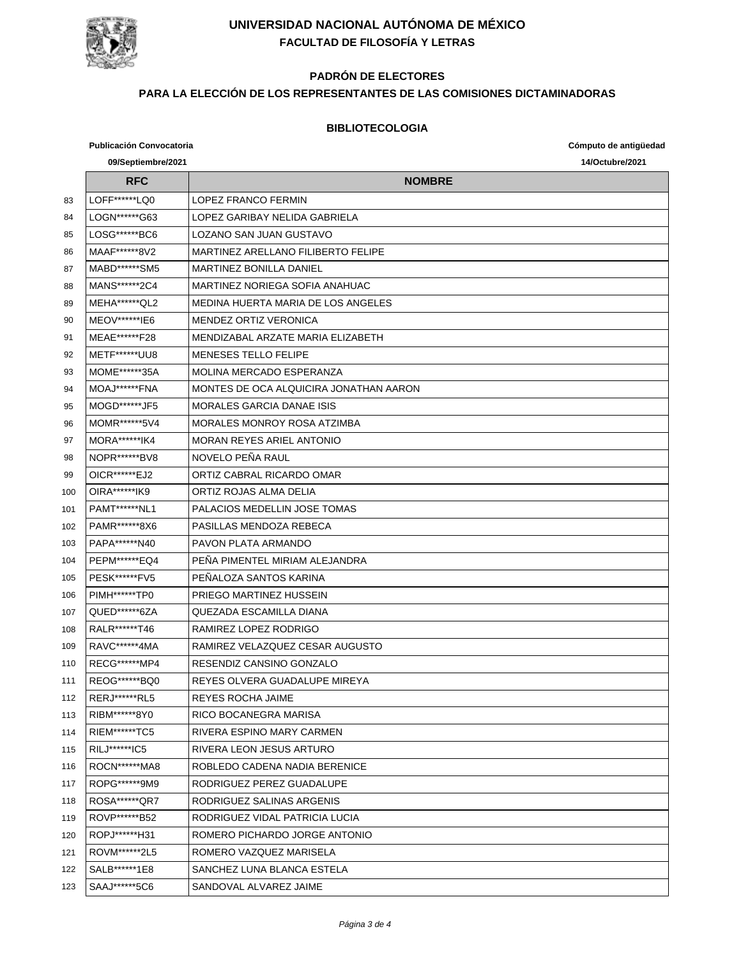

# **PADRÓN DE ELECTORES**

### **PARA LA ELECCIÓN DE LOS REPRESENTANTES DE LAS COMISIONES DICTAMINADORAS**

#### **BIBLIOTECOLOGIA**

**Publicación Convocatoria Cómputo de antigüedad 09/Septiembre/2021 14/Octubre/2021 RFC NOMBRE** 83 LOFF\*\*\*\*\*\*LQ0 LOPEZ FRANCO FERMIN LOGN\*\*\*\*\*\*G63 LOPEZ GARIBAY NELIDA GABRIELA LOSG\*\*\*\*\*\*BC6 LOZANO SAN JUAN GUSTAVO MAAF\*\*\*\*\*\*8V2 MARTINEZ ARELLANO FILIBERTO FELIPE 87 | MABD\*\*\*\*\*\*SM5 | MARTINEZ BONILLA DANIEL MANS\*\*\*\*\*\*2C4 MARTINEZ NORIEGA SOFIA ANAHUAC MEHA\*\*\*\*\*\*QL2 MEDINA HUERTA MARIA DE LOS ANGELES 90 | MEOV\*\*\*\*\*\*IE6 | MENDEZ ORTIZ VERONICA MEAE\*\*\*\*\*\*F28 MENDIZABAL ARZATE MARIA ELIZABETH METF\*\*\*\*\*\*UU8 MENESES TELLO FELIPE 93 MOME\*\*\*\*\*\*35A MOLINA MERCADO ESPERANZA MOAJ\*\*\*\*\*\*FNA MONTES DE OCA ALQUICIRA JONATHAN AARON 95 | MOGD\*\*\*\*\*\*JF5 | MORALES GARCIA DANAE ISIS 96 | MOMR\*\*\*\*\*\*5V4 | MORALES MONROY ROSA ATZIMBA 97 | MORA\*\*\*\*\*\*\*IK4 | MORAN REYES ARIEL ANTONIO 98 NOPR\*\*\*\*\*\*BV8 NOVELO PEÑA RAUL 99 | OICR\*\*\*\*\*\*\*EJ2 | ORTIZ CABRAL RICARDO OMAR OIRA\*\*\*\*\*\*IK9 ORTIZ ROJAS ALMA DELIA PAMT\*\*\*\*\*\*NL1 PALACIOS MEDELLIN JOSE TOMAS PAMR\*\*\*\*\*\*8X6 PASILLAS MENDOZA REBECA PAPA\*\*\*\*\*\*N40 PAVON PLATA ARMANDO PEPM\*\*\*\*\*\*EQ4 PEÑA PIMENTEL MIRIAM ALEJANDRA PESK\*\*\*\*\*\*FV5 PEÑALOZA SANTOS KARINA PIMH\*\*\*\*\*\*TP0 PRIEGO MARTINEZ HUSSEIN QUED\*\*\*\*\*\*6ZA QUEZADA ESCAMILLA DIANA RALR\*\*\*\*\*\*T46 RAMIREZ LOPEZ RODRIGO RAVC\*\*\*\*\*\*4MA RAMIREZ VELAZQUEZ CESAR AUGUSTO RECG\*\*\*\*\*\*MP4 RESENDIZ CANSINO GONZALO REOG\*\*\*\*\*\*BQ0 REYES OLVERA GUADALUPE MIREYA RERJ\*\*\*\*\*\*RL5 REYES ROCHA JAIME 113 | RIBM\*\*\*\*\*\*8Y0 | RICO BOCANEGRA MARISA 114 RIEM\*\*\*\*\*\*\*TC5 | RIVERA ESPINO MARY CARMEN RILJ\*\*\*\*\*\*IC5 RIVERA LEON JESUS ARTURO 116 ROCN\*\*\*\*\*\*MA8 ROBLEDO CADENA NADIA BERENICE ROPG\*\*\*\*\*\*9M9 RODRIGUEZ PEREZ GUADALUPE ROSA\*\*\*\*\*\*QR7 RODRIGUEZ SALINAS ARGENIS ROVP\*\*\*\*\*\*B52 RODRIGUEZ VIDAL PATRICIA LUCIA ROPJ\*\*\*\*\*\*H31 ROMERO PICHARDO JORGE ANTONIO ROVM\*\*\*\*\*\*2L5 ROMERO VAZQUEZ MARISELA SALB\*\*\*\*\*\*1E8 SANCHEZ LUNA BLANCA ESTELA 123 SAAJ\*\*\*\*\*\*5C6 SANDOVAL ALVAREZ JAIME